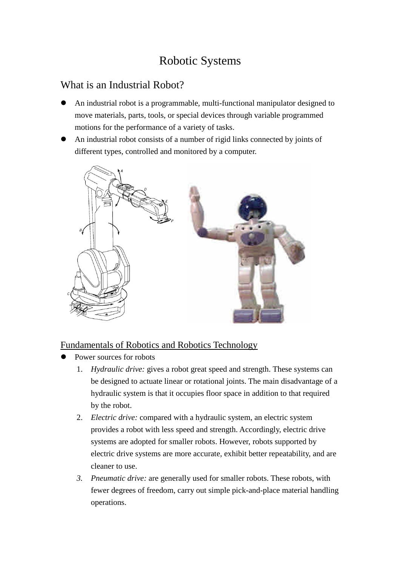# Robotic Systems

## What is an Industrial Robot?

- An industrial robot is a programmable, multi-functional manipulator designed to move materials, parts, tools, or special devices through variable programmed motions for the performance of a variety of tasks.
- An industrial robot consists of a number of rigid links connected by joints of different types, controlled and monitored by a computer.



## Fundamentals of Robotics and Robotics Technology

- Power sources for robots
	- 1. *Hydraulic drive:* gives a robot great speed and strength. These systems can be designed to actuate linear or rotational joints. The main disadvantage of a hydraulic system is that it occupies floor space in addition to that required by the robot.
	- 2. *Electric drive:* compared with a hydraulic system, an electric system provides a robot with less speed and strength. Accordingly, electric drive systems are adopted for smaller robots. However, robots supported by electric drive systems are more accurate, exhibit better repeatability, and are cleaner to use.
	- *3. Pneumatic drive:* are generally used for smaller robots. These robots, with fewer degrees of freedom, carry out simple pick-and-place material handling operations.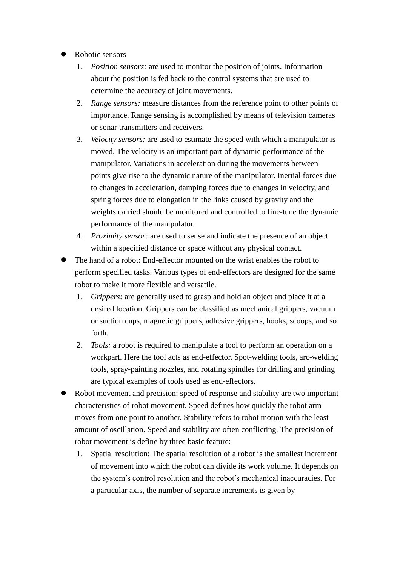- Robotic sensors
	- 1. *Position sensors:* are used to monitor the position of joints. Information about the position is fed back to the control systems that are used to determine the accuracy of joint movements.
	- 2. *Range sensors:* measure distances from the reference point to other points of importance. Range sensing is accomplished by means of television cameras or sonar transmitters and receivers.
	- 3. *Velocity sensors:* are used to estimate the speed with which a manipulator is moved. The velocity is an important part of dynamic performance of the manipulator. Variations in acceleration during the movements between points give rise to the dynamic nature of the manipulator. Inertial forces due to changes in acceleration, damping forces due to changes in velocity, and spring forces due to elongation in the links caused by gravity and the weights carried should be monitored and controlled to fine-tune the dynamic performance of the manipulator.
	- 4. *Proximity sensor:* are used to sense and indicate the presence of an object within a specified distance or space without any physical contact.
- The hand of a robot: End-effector mounted on the wrist enables the robot to perform specified tasks. Various types of end-effectors are designed for the same robot to make it more flexible and versatile.
	- 1. *Grippers:* are generally used to grasp and hold an object and place it at a desired location. Grippers can be classified as mechanical grippers, vacuum or suction cups, magnetic grippers, adhesive grippers, hooks, scoops, and so forth.
	- 2. *Tools:* a robot is required to manipulate a tool to perform an operation on a workpart. Here the tool acts as end-effector. Spot-welding tools, arc-welding tools, spray-painting nozzles, and rotating spindles for drilling and grinding are typical examples of tools used as end-effectors.
- Robot movement and precision: speed of response and stability are two important characteristics of robot movement. Speed defines how quickly the robot arm moves from one point to another. Stability refers to robot motion with the least amount of oscillation. Speed and stability are often conflicting. The precision of robot movement is define by three basic feature:
	- 1. Spatial resolution: The spatial resolution of a robot is the smallest increment of movement into which the robot can divide its work volume. It depends on the system's control resolution and the robot's mechanical inaccuracies. For a particular axis, the number of separate increments is given by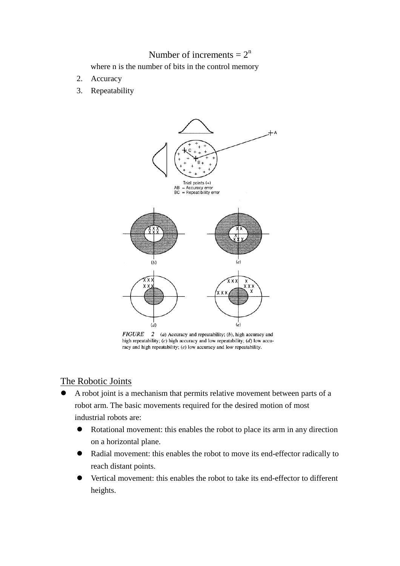## Number of increments  $= 2^n$

where n is the number of bits in the control memory

- 2. Accuracy
- 3. Repeatability



 $FIGURE$  (a) Accuracy and repeatability; (b), high accuracy and high repeatability;  $(c)$  high accuracy and low repeatability;  $(d)$  low accuracy and high repeatability;  $(e)$  low accuracy and low repeatability.

## The Robotic Joints

- A robot joint is a mechanism that permits relative movement between parts of a robot arm. The basic movements required for the desired motion of most industrial robots are:
	- Rotational movement: this enables the robot to place its arm in any direction on a horizontal plane.
	- Radial movement: this enables the robot to move its end-effector radically to reach distant points.
	- Vertical movement: this enables the robot to take its end-effector to different heights.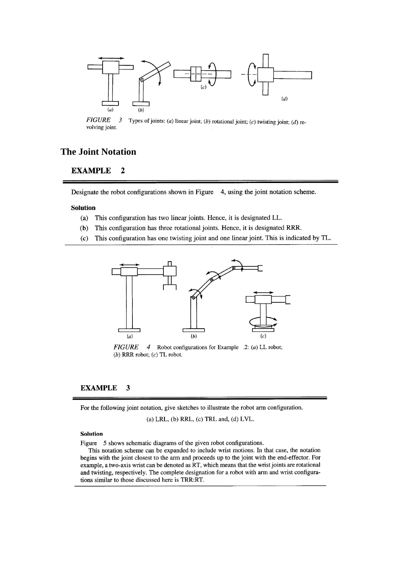

**FIGURE** Types of joints: (a) linear joint; (b) rotational joint; (c) twisting joint; (d) re- $\boldsymbol{\beta}$ volving joint.

## **The Joint Notation**

#### **EXAMPLE**  $\overline{c}$

Designate the robot configurations shown in Figure 4, using the joint notation scheme.

### **Solution**

- This configuration has two linear joints. Hence, it is designated LL.  $(a)$
- This configuration has three rotational joints. Hence, it is designated RRR.  $(b)$
- $(c)$ This configuration has one twisting joint and one linear joint. This is indicated by TL.



*FIGURE* 4 Robot configurations for Example .2: (a) LL robot; (b) RRR robot;  $(c)$  TL robot.

#### **EXAMPLE** 3

For the following joint notation, give sketches to illustrate the robot arm configuration.

(a) LRL, (b) RRL, (c) TRL and, (d) LVL.

### Solution

Figure 5 shows schematic diagrams of the given robot configurations.

This notation scheme can be expanded to include wrist motions. In that case, the notation begins with the joint closest to the arm and proceeds up to the joint with the end-effector. For example, a two-axis wrist can be denoted as RT, which means that the wrist joints are rotational and twisting, respectively. The complete designation for a robot with arm and wrist configurations similar to those discussed here is TRR:RT.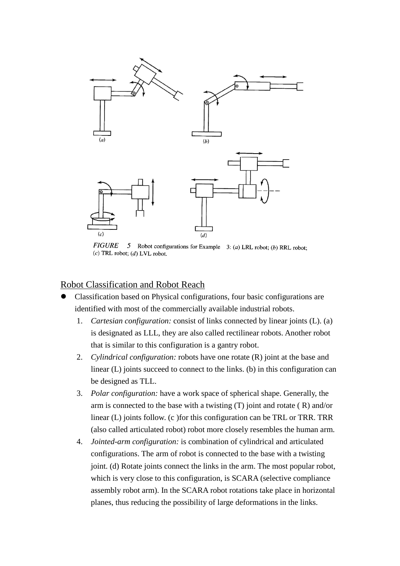

**FIGURE** 5 Robot configurations for Example 3: (a) LRL robot; (b) RRL robot;  $(c)$  TRL robot;  $(d)$  LVL robot.

## Robot Classification and Robot Reach

- Classification based on Physical configurations, four basic configurations are identified with most of the commercially available industrial robots.
	- 1. *Cartesian configuration:* consist of links connected by linear joints (L). (a) is designated as LLL, they are also called rectilinear robots. Another robot that is similar to this configuration is a gantry robot.
	- 2. *Cylindrical configuration:* robots have one rotate (R) joint at the base and linear (L) joints succeed to connect to the links. (b) in this configuration can be designed as TLL.
	- 3. *Polar configuration:* have a work space of spherical shape. Generally, the arm is connected to the base with a twisting  $(T)$  joint and rotate  $(R)$  and/or linear (L) joints follow. (c )for this configuration can be TRL or TRR. TRR (also called articulated robot) robot more closely resembles the human arm.
	- 4. *Jointed-arm configuration:* is combination of cylindrical and articulated configurations. The arm of robot is connected to the base with a twisting joint. (d) Rotate joints connect the links in the arm. The most popular robot, which is very close to this configuration, is SCARA (selective compliance assembly robot arm). In the SCARA robot rotations take place in horizontal planes, thus reducing the possibility of large deformations in the links.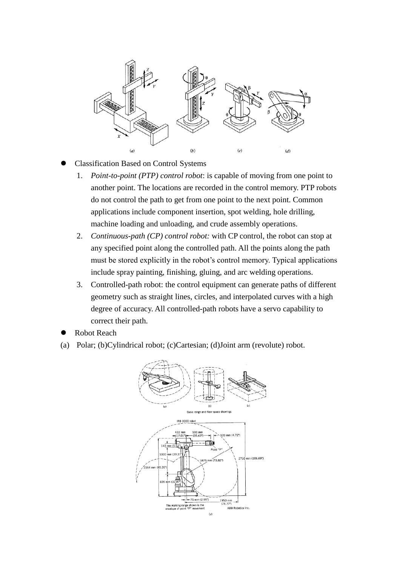

- Classification Based on Control Systems
	- 1. *Point-to-point (PTP) control robot*: is capable of moving from one point to another point. The locations are recorded in the control memory. PTP robots do not control the path to get from one point to the next point. Common applications include component insertion, spot welding, hole drilling, machine loading and unloading, and crude assembly operations.
	- 2. *Continuous-path (CP) control robot:* with CP control, the robot can stop at any specified point along the controlled path. All the points along the path must be stored explicitly in the robot's control memory. Typical applications include spray painting, finishing, gluing, and arc welding operations.
	- 3. Controlled-path robot: the control equipment can generate paths of different geometry such as straight lines, circles, and interpolated curves with a high degree of accuracy. All controlled-path robots have a servo capability to correct their path.
- Robot Reach
- (a) Polar; (b)Cylindrical robot; (c)Cartesian; (d)Joint arm (revolute) robot.

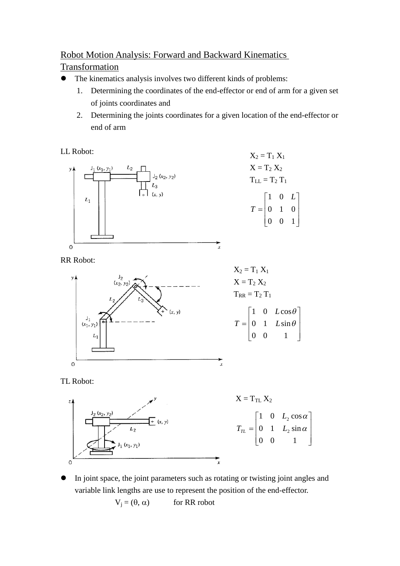# Robot Motion Analysis: Forward and Backward Kinematics

## Transformation

- The kinematics analysis involves two different kinds of problems:
	- 1. Determining the coordinates of the end-effector or end of arm for a given set of joints coordinates and
	- 2. Determining the joints coordinates for a given location of the end-effector or end of arm

 $\mathbf{L}$  $\mathbf{L}$  $\mathbf{L}$ 

 $\mathbf{L}$ 

 $\perp$ 

LL Robot:



RR Robot:







 In joint space, the joint parameters such as rotating or twisting joint angles and variable link lengths are use to represent the position of the end-effector.

 $V_i = (\theta, \alpha)$  for RR robot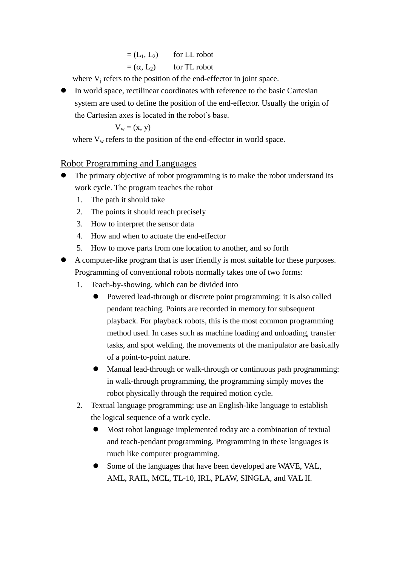| $=(L_1, L_2)$    | for LL robot |
|------------------|--------------|
| $=(\alpha, L_2)$ | for TL robot |

where  $V_i$  refers to the position of the end-effector in joint space.

 In world space, rectilinear coordinates with reference to the basic Cartesian system are used to define the position of the end-effector. Usually the origin of the Cartesian axes is located in the robot's base.

$$
V_w = (x, y)
$$

where  $V_w$  refers to the position of the end-effector in world space.

## Robot Programming and Languages

- The primary objective of robot programming is to make the robot understand its work cycle. The program teaches the robot
	- 1. The path it should take
	- 2. The points it should reach precisely
	- 3. How to interpret the sensor data
	- 4. How and when to actuate the end-effector
	- 5. How to move parts from one location to another, and so forth
- A computer-like program that is user friendly is most suitable for these purposes. Programming of conventional robots normally takes one of two forms:
	- 1. Teach-by-showing, which can be divided into
		- Powered lead-through or discrete point programming: it is also called pendant teaching. Points are recorded in memory for subsequent playback. For playback robots, this is the most common programming method used. In cases such as machine loading and unloading, transfer tasks, and spot welding, the movements of the manipulator are basically of a point-to-point nature.
		- Manual lead-through or walk-through or continuous path programming: in walk-through programming, the programming simply moves the robot physically through the required motion cycle.
	- 2. Textual language programming: use an English-like language to establish the logical sequence of a work cycle.
		- Most robot language implemented today are a combination of textual and teach-pendant programming. Programming in these languages is much like computer programming.
		- Some of the languages that have been developed are WAVE, VAL, AML, RAIL, MCL, TL-10, IRL, PLAW, SINGLA, and VAL II.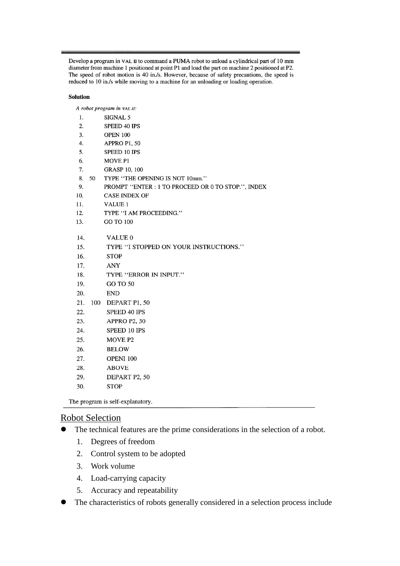Develop a program in VAL II to command a PUMA robot to unload a cylindrical part of 10 mm diameter from machine 1 positioned at point P1 and load the part on machine 2 positioned at P2. The speed of robot motion is 40 in./s. However, because of safety precautions, the speed is reduced to 10 in./s while moving to a machine for an unloading or loading operation.

### **Solution**

A robot program in VAL II:

| 1.  |     | SIGNAL 5                                           |
|-----|-----|----------------------------------------------------|
| 2.  |     | <b>SPEED 40 IPS</b>                                |
| 3.  |     | <b>OPEN 100</b>                                    |
| 4.  |     | APPRO P1, 50                                       |
| 5.  |     | SPEED 10 IPS                                       |
| 6.  |     | <b>MOVE P1</b>                                     |
| 7.  |     | <b>GRASP 10, 100</b>                               |
| 8.  | 50  | TYPE "THE OPENING IS NOT 10mm."                    |
| 9.  |     | PROMPT "ENTER : 1 TO PROCEED OR 0 TO STOP.", INDEX |
| 10. |     | <b>CASE INDEX OF</b>                               |
| 11. |     | <b>VALUE 1</b>                                     |
| 12. |     | TYPE "I AM PROCEEDING."                            |
| 13. |     | GO TO 100                                          |
|     |     |                                                    |
| 14. |     | VALUE 0                                            |
| 15. |     | TYPE "I STOPPED ON YOUR INSTRUCTIONS."             |
| 16. |     | <b>STOP</b>                                        |
| 17. |     | <b>ANY</b>                                         |
| 18. |     | TYPE "ERROR IN INPUT."                             |
| 19. |     | GO TO 50                                           |
| 20. |     | <b>END</b>                                         |
| 21. | 100 | DEPART P1, 50                                      |
| 22. |     | SPEED 40 IPS                                       |
| 23. |     | APPRO P2, 50                                       |
| 24. |     | SPEED 10 IPS                                       |
| 25. |     | MOVE <sub>P2</sub>                                 |
| 26. |     | <b>BELOW</b>                                       |
| 27. |     | OPENI 100                                          |
| 28. |     | <b>ABOVE</b>                                       |
| 29. |     | DEPART P2, 50                                      |
| 30. |     | <b>STOP</b>                                        |
|     |     |                                                    |

The program is self-explanatory.

### Robot Selection

- The technical features are the prime considerations in the selection of a robot.
	- 1. Degrees of freedom
	- 2. Control system to be adopted
	- 3. Work volume
	- 4. Load-carrying capacity
	- 5. Accuracy and repeatability
- The characteristics of robots generally considered in a selection process include